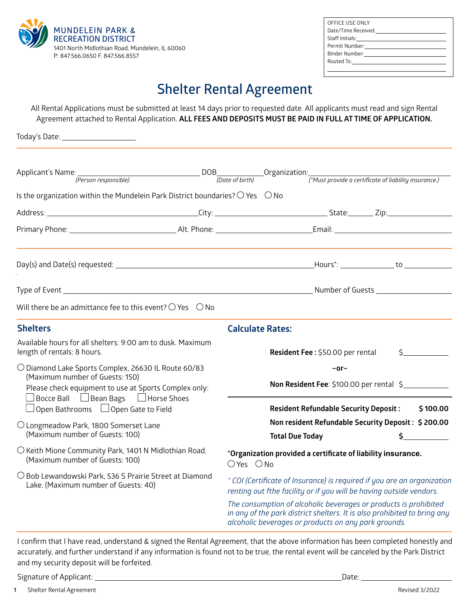

Today's Date:

| OFFICE USE ONLY                                                                                                                                                                                                                |
|--------------------------------------------------------------------------------------------------------------------------------------------------------------------------------------------------------------------------------|
| Date/Time Received: National State Assets and the Date Assets are not all the Date of the Date of the Date of the D                                                                                                            |
| Staff Initials: <u>____________________________</u>                                                                                                                                                                            |
|                                                                                                                                                                                                                                |
| Binder Number: with the control of the control of the control of the control of the control of the control of the control of the control of the control of the control of the control of the control of the control of the con |
| Routed To: <u>__________</u> _____________                                                                                                                                                                                     |
|                                                                                                                                                                                                                                |

# **Shelter Rental Agreement**

All Rental Applications must be submitted at least 14 days prior to requested date. All applicants must read and sign Rental Agreement attached to Rental Application. **ALL FEES AND DEPOSITS MUST BE PAID IN FULL AT TIME OF APPLICATION.**

Applicant's Name: DOB Organization: *(Person responsible) (Date of birth) (\*Must provide a certificate of liability insurance.)* Is the organization within the Mundelein Park District boundaries?  $\bigcirc$  Yes  $\bigcirc$  No Address: 2008. 2012. 2013. 2014. 2014. 2014. 2014. 2014. 2014. 2014. 2014. 2014. 2014. 2014. 2014. 2014. 2014. Primary Phone: Alt. Phone: Email: Day(s) and Date(s) requested: Hours\*: to *.* Type of Event Number of Guests and Type of Guests Authority of Guests Authority of Guests Authority of Guests Authority of Guests Authority of Guests Authority of Guests Authority of Guests Authority of Guests Authority of Will there be an admittance fee to this event?  $\bigcirc$  Yes  $\bigcirc$  No **Shelters** Available hours for all shelters: 9:00 am to dusk. Maximum length of rentals: 8 hours.  $\bigcirc$  Diamond Lake Sports Complex, 26630 IL Route 60/83 (Maximum number of Guests: 150) Please check equipment to use at Sports Complex only:  $\Box$  Bocce Ball  $\Box$  Bean Bags  $\Box$  Horse Shoes  $\Box$  Open Bathrooms  $\Box$  Open Gate to Field Longmeadow Park, 1800 Somerset Lane (Maximum number of Guests: 100)  $\bigcirc$  Keith Mione Community Park, 1401 N Midlothian Road. (Maximum number of Guests: 100)  $\bigcirc$  Bob Lewandowski Park, 536 S Prairie Street at Diamond Lake. (Maximum number of Guests: 40) **Calculate Rates: Resident Fee: \$50.00 per rental –or– Non Resident Fee**: \$100.00 per rental \$ **Resident Refundable Security Deposit : \$ 100.00 Non resident Refundable Security Deposit : \$ 200.00 Total Due Today \$ \*Organization provided a certificate of liability insurance.**   $OYes$   $ONo$ *\* COI (Certificate of Insurance) is required if you are an organization renting out fthe facility or if you will be having outside vendors. The consumption of alcoholic beverages or products is prohibited in any of the park district shelters. It is also prohibited to bring any alcoholic beverages or products on any park grounds.*

I confirm that I have read, understand & signed the Rental Agreement, that the above information has been completed honestly and accurately, and further understand if any information is found not to be true, the rental event will be canceled by the Park District and my security deposit will be forfeited.

Signature of Applicant: Date: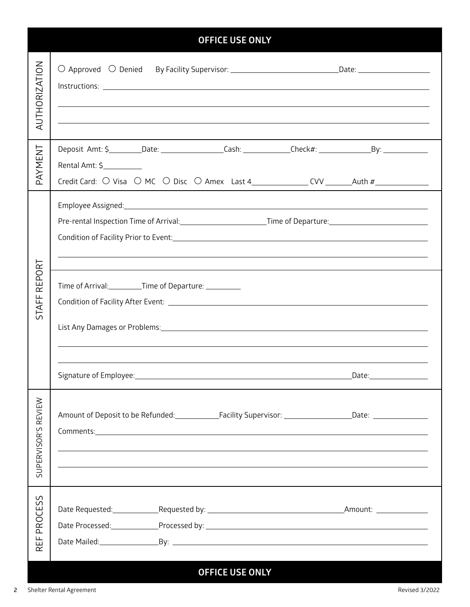| <b>OFFICE USE ONLY</b>                 |                                                                                                                                                                                                                                                                                                                                                                                                                                                                                                                                                                        |                         |  |
|----------------------------------------|------------------------------------------------------------------------------------------------------------------------------------------------------------------------------------------------------------------------------------------------------------------------------------------------------------------------------------------------------------------------------------------------------------------------------------------------------------------------------------------------------------------------------------------------------------------------|-------------------------|--|
| <b>AUTHORIZATION</b>                   | O Approved O Denied By Facility Supervisor: _________________________________Date: ___________________________<br>,我们也不会有什么。""我们的人,我们也不会有什么?""我们的人,我们也不会有什么?""我们的人,我们也不会有什么?""我们的人,我们也不会有什么?""我们的人                                                                                                                                                                                                                                                                                                                                                                     |                         |  |
| PAYMENT                                | Rental Amt: \$___________                                                                                                                                                                                                                                                                                                                                                                                                                                                                                                                                              |                         |  |
|                                        | Employee Assigned: <u>contract and a series of the series of the series of the series of the series of the series of</u><br>Pre-rental Inspection Time of Arrival:_____________________________Time of Departure:_________________________                                                                                                                                                                                                                                                                                                                             |                         |  |
| EPORT<br>$\propto$<br>푼<br><b>IATS</b> | List Any Damages or Problems: 1988 and 2008 and 2008 and 2010 and 2010 and 2010 and 2010 and 2010 and 2010 and                                                                                                                                                                                                                                                                                                                                                                                                                                                         |                         |  |
|                                        |                                                                                                                                                                                                                                                                                                                                                                                                                                                                                                                                                                        | Date:__________________ |  |
| SUPERVISOR'S REVIEW                    | Amount of Deposit to be Refunded: Facility Supervisor: Cambridge Mate: Cambridge Material Proposition be Refunded:<br>Comments: <u>comments:</u> comments: comments: comments: comments: comments: comments: comments: comments: comments: comments: comments: comments: comments: comments: comments: comments: comments: comments: comments: comments:<br><u> 1989 - Andrea San Andrea San Andrea San Andrea San Andrea San Andrea San Andrea San Andrea San Andrea San Andr</u><br>,我们也不会有什么。""我们的人,我们也不会有什么?""我们的人,我们也不会有什么?""我们的人,我们也不会有什么?""我们的人,我们也不会有什么?""我们的人 |                         |  |
| <b>PROCESS</b><br>岀<br>$\propto$       |                                                                                                                                                                                                                                                                                                                                                                                                                                                                                                                                                                        |                         |  |
| <b>OFFICE USE ONLY</b>                 |                                                                                                                                                                                                                                                                                                                                                                                                                                                                                                                                                                        |                         |  |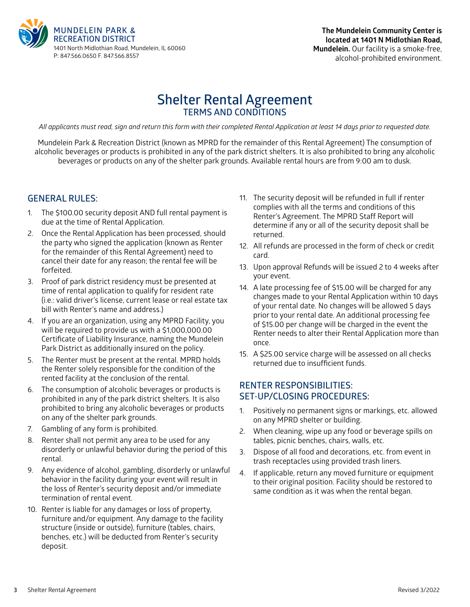

# **Shelter Rental Agreement TERMS AND CONDITIONS**

*All applicants must read, sign and return this form with their completed Rental Application at least 14 days prior to requested date.*

Mundelein Park & Recreation District (known as MPRD for the remainder of this Rental Agreement) The consumption of alcoholic beverages or products is prohibited in any of the park district shelters. It is also prohibited to bring any alcoholic beverages or products on any of the shelter park grounds. Available rental hours are from 9:00 am to dusk.

### **GENERAL RULES:**

- 1. The \$100.00 security deposit AND full rental payment is due at the time of Rental Application.
- 2. Once the Rental Application has been processed, should the party who signed the application (known as Renter for the remainder of this Rental Agreement) need to cancel their date for any reason; the rental fee will be forfeited.
- 3. Proof of park district residency must be presented at time of rental application to qualify for resident rate (i.e.: valid driver's license, current lease or real estate tax bill with Renter's name and address.)
- 4. If you are an organization, using any MPRD Facility, you will be required to provide us with a \$1,000,000.00 Certificate of Liability Insurance, naming the Mundelein Park District as additionally insured on the policy.
- 5. The Renter must be present at the rental. MPRD holds the Renter solely responsible for the condition of the rented facility at the conclusion of the rental.
- 6. The consumption of alcoholic beverages or products is prohibited in any of the park district shelters. It is also prohibited to bring any alcoholic beverages or products on any of the shelter park grounds.
- 7. Gambling of any form is prohibited.
- 8. Renter shall not permit any area to be used for any disorderly or unlawful behavior during the period of this rental.
- 9. Any evidence of alcohol, gambling, disorderly or unlawful behavior in the facility during your event will result in the loss of Renter's security deposit and/or immediate termination of rental event.
- 10. Renter is liable for any damages or loss of property, furniture and/or equipment. Any damage to the facility structure (inside or outside), furniture (tables, chairs, benches, etc.) will be deducted from Renter's security deposit.
- 11. The security deposit will be refunded in full if renter complies with all the terms and conditions of this Renter's Agreement. The MPRD Staff Report will determine if any or all of the security deposit shall be returned.
- 12. All refunds are processed in the form of check or credit card.
- 13. Upon approval Refunds will be issued 2 to 4 weeks after your event.
- 14. A late processing fee of \$15.00 will be charged for any changes made to your Rental Application within 10 days of your rental date. No changes will be allowed 5 days prior to your rental date. An additional processing fee of \$15.00 per change will be charged in the event the Renter needs to alter their Rental Application more than once.
- 15. A \$25.00 service charge will be assessed on all checks returned due to insufficient funds.

## **RENTER RESPONSIBILITIES: SET-UP/CLOSING PROCEDURES:**

- 1. Positively no permanent signs or markings, etc. allowed on any MPRD shelter or building.
- 2. When cleaning, wipe up any food or beverage spills on tables, picnic benches, chairs, walls, etc.
- 3. Dispose of all food and decorations, etc. from event in trash receptacles using provided trash liners.
- 4. If applicable, return any moved furniture or equipment to their original position. Facility should be restored to same condition as it was when the rental began.